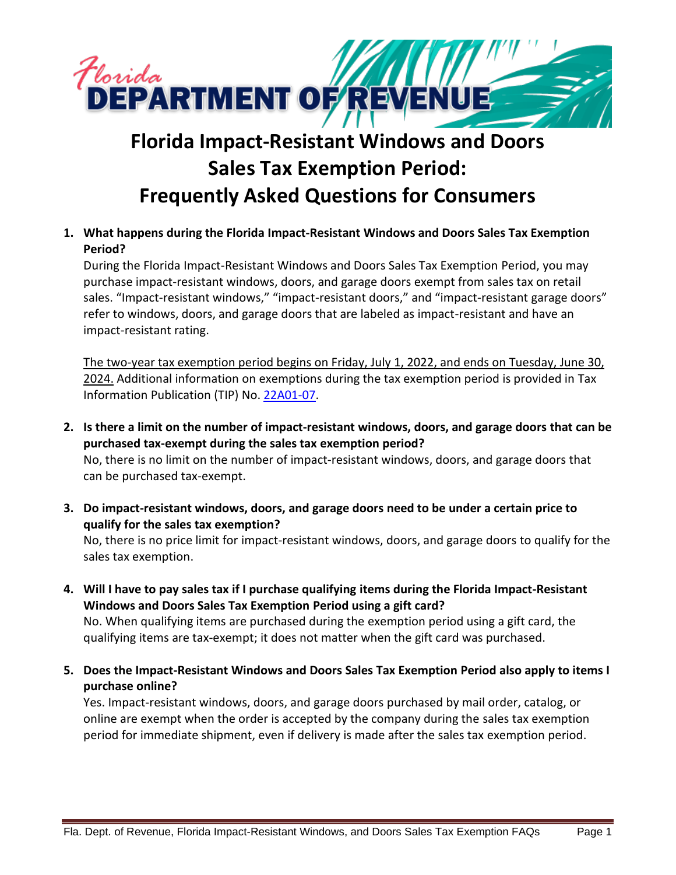

## **Florida Impact-Resistant Windows and Doors Sales Tax Exemption Period: Frequently Asked Questions for Consumers**

**1. What happens during the Florida Impact-Resistant Windows and Doors Sales Tax Exemption Period?**

During the Florida Impact-Resistant Windows and Doors Sales Tax Exemption Period, you may purchase impact-resistant windows, doors, and garage doors exempt from sales tax on retail sales. "Impact-resistant windows," "impact-resistant doors," and "impact-resistant garage doors" refer to windows, doors, and garage doors that are labeled as impact-resistant and have an impact-resistant rating.

The two-year tax exemption period begins on Friday, July 1, 2022, and ends on Tuesday, June 30, 2024. Additional information on exemptions during the tax exemption period is provided in Tax Information Publication (TIP) No[. 22A01-07.](https://floridarevenue.com/taxes/tips/Documents/TIP_22A01-07.pdf)

**2. Is there a limit on the number of impact-resistant windows, doors, and garage doors that can be purchased tax-exempt during the sales tax exemption period?** No, there is no limit on the number of impact-resistant windows, doors, and garage doors that

can be purchased tax-exempt.

**3. Do impact-resistant windows, doors, and garage doors need to be under a certain price to qualify for the sales tax exemption?**

No, there is no price limit for impact-resistant windows, doors, and garage doors to qualify for the sales tax exemption.

**4. Will I have to pay sales tax if I purchase qualifying items during the Florida Impact-Resistant Windows and Doors Sales Tax Exemption Period using a gift card?**

No. When qualifying items are purchased during the exemption period using a gift card, the qualifying items are tax-exempt; it does not matter when the gift card was purchased.

**5. Does the Impact-Resistant Windows and Doors Sales Tax Exemption Period also apply to items I purchase online?**

Yes. Impact-resistant windows, doors, and garage doors purchased by mail order, catalog, or online are exempt when the order is accepted by the company during the sales tax exemption period for immediate shipment, even if delivery is made after the sales tax exemption period.